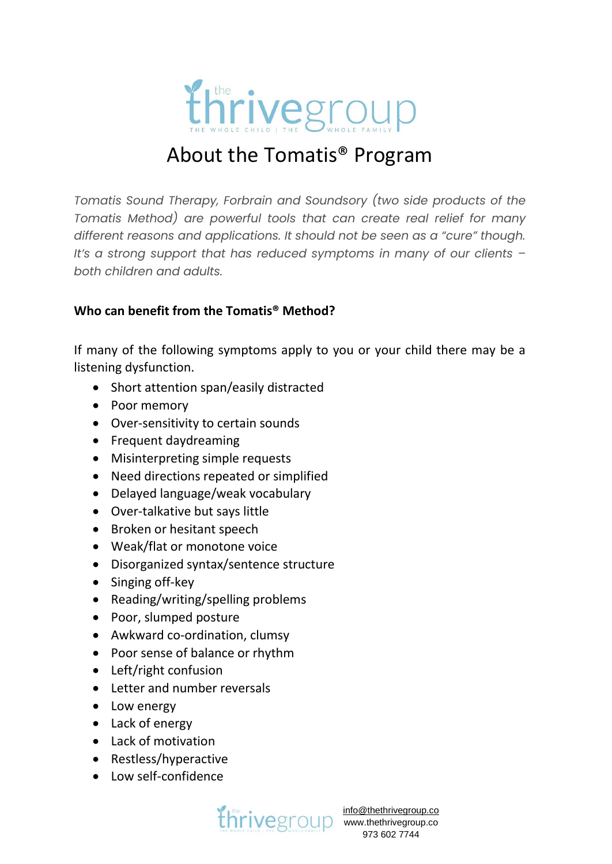

# About the Tomatis® Program

*Tomatis Sound Therapy, Forbrain and Soundsory (two side products of the Tomatis Method) are powerful tools that can create real relief for many different reasons and applications. It should not be seen as a "cure" though. It's a strong support that has reduced symptoms in many of our clients – both children and adults.*

# **Who can benefit from the Tomatis® Method?**

If many of the following symptoms apply to you or your child there may be a listening dysfunction.

- Short attention span/easily distracted
- Poor memory
- Over-sensitivity to certain sounds
- Frequent daydreaming
- Misinterpreting simple requests
- Need directions repeated or simplified
- Delayed language/weak vocabulary
- Over-talkative but says little
- Broken or hesitant speech
- Weak/flat or monotone voice
- Disorganized syntax/sentence structure
- Singing off-key
- Reading/writing/spelling problems
- Poor, slumped posture
- Awkward co-ordination, clumsy
- Poor sense of balance or rhythm
- Left/right confusion
- Letter and number reversals
- Low energy
- Lack of energy
- Lack of motivation
- Restless/hyperactive
- Low self-confidence

**[info@thethrivegroup.co](mailto:info@thethrivegroup.co)**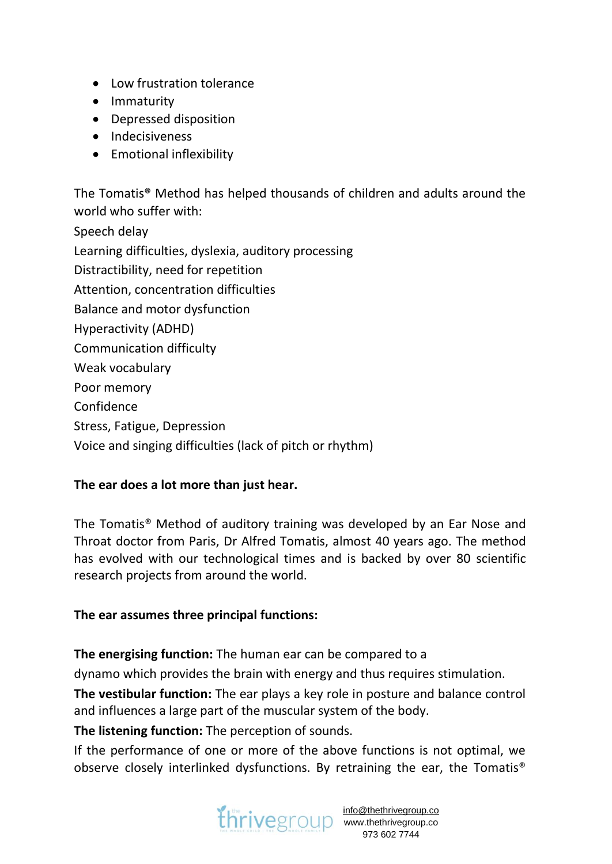- Low frustration tolerance
- Immaturity
- Depressed disposition
- Indecisiveness
- Emotional inflexibility

The Tomatis® Method has helped thousands of children and adults around the world who suffer with: Speech delay Learning difficulties, dyslexia, auditory processing Distractibility, need for repetition Attention, concentration difficulties Balance and motor dysfunction Hyperactivity (ADHD) Communication difficulty Weak vocabulary Poor memory Confidence Stress, Fatigue, Depression Voice and singing difficulties (lack of pitch or rhythm)

# **The ear does a lot more than just hear.**

The Tomatis® Method of auditory training was developed by an Ear Nose and Throat doctor from Paris, Dr Alfred Tomatis, almost 40 years ago. The method has evolved with our technological times and is backed by over 80 scientific research projects from around the world.

# **The ear assumes three principal functions:**

**The energising function:** The human ear can be compared to a

dynamo which provides the brain with energy and thus requires stimulation.

**The vestibular function:** The ear plays a key role in posture and balance control and influences a large part of the muscular system of the body.

**The listening function:** The perception of sounds.

If the performance of one or more of the above functions is not optimal, we observe closely interlinked dysfunctions. By retraining the ear, the Tomatis®

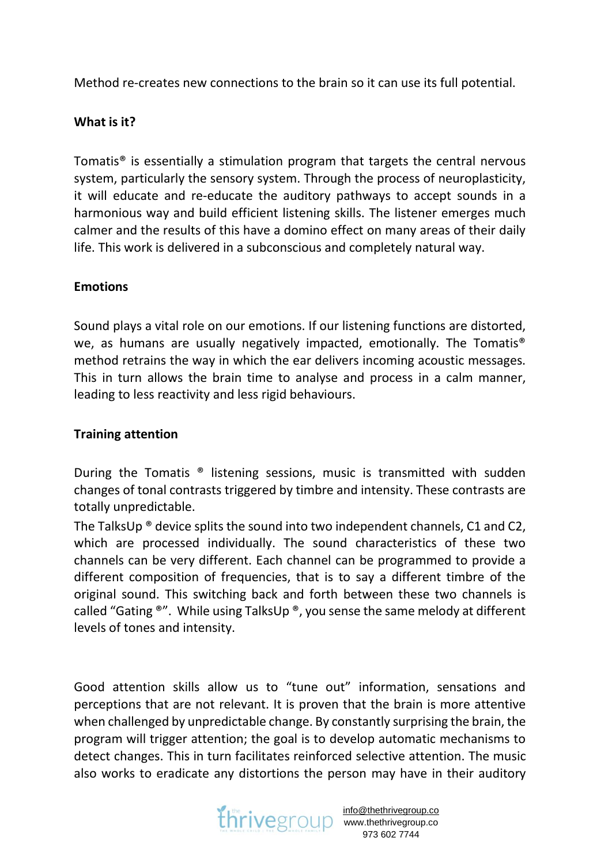Method re-creates new connections to the brain so it can use its full potential.

# **What is it?**

Tomatis® is essentially a stimulation program that targets the central nervous system, particularly the sensory system. Through the process of neuroplasticity, it will educate and re-educate the auditory pathways to accept sounds in a harmonious way and build efficient listening skills. The listener emerges much calmer and the results of this have a domino effect on many areas of their daily life. This work is delivered in a subconscious and completely natural way.

# **Emotions**

Sound plays a vital role on our emotions. If our listening functions are distorted, we, as humans are usually negatively impacted, emotionally. The Tomatis® method retrains the way in which the ear delivers incoming acoustic messages. This in turn allows the brain time to analyse and process in a calm manner, leading to less reactivity and less rigid behaviours.

# **Training attention**

During the Tomatis ® listening sessions, music is transmitted with sudden changes of tonal contrasts triggered by timbre and intensity. These contrasts are totally unpredictable.

The TalksUp ® device splits the sound into two independent channels, C1 and C2, which are processed individually. The sound characteristics of these two channels can be very different. Each channel can be programmed to provide a different composition of frequencies, that is to say a different timbre of the original sound. This switching back and forth between these two channels is called "Gating  $\mathbb{R}^n$ . While using TalksUp  $\mathbb{R}$ , you sense the same melody at different levels of tones and intensity.

Good attention skills allow us to "tune out" information, sensations and perceptions that are not relevant. It is proven that the brain is more attentive when challenged by unpredictable change. By constantly surprising the brain, the program will trigger attention; the goal is to develop automatic mechanisms to detect changes. This in turn facilitates reinforced selective attention. The music also works to eradicate any distortions the person may have in their auditory

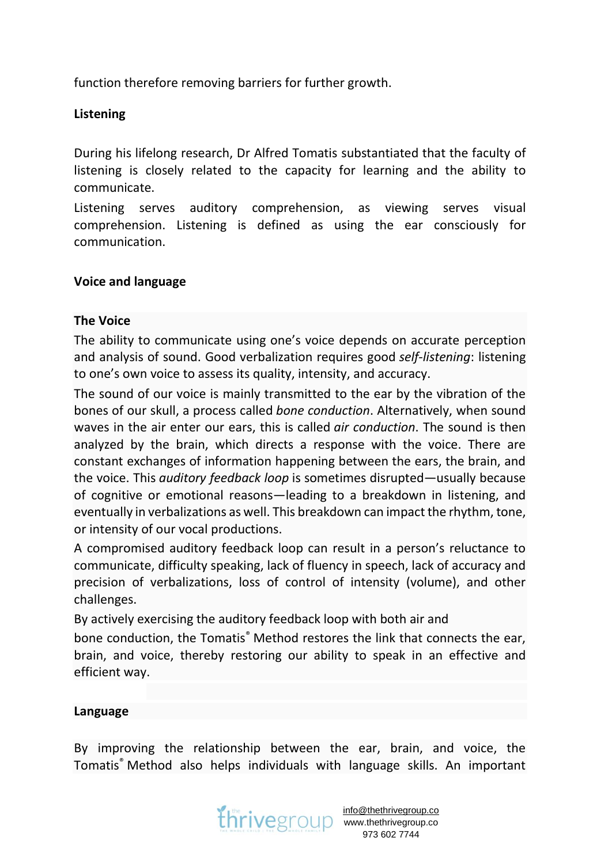function therefore removing barriers for further growth.

## **Listening**

During his lifelong research, Dr Alfred Tomatis substantiated that the faculty of listening is closely related to the capacity for learning and the ability to communicate.

Listening serves auditory comprehension, as viewing serves visual comprehension. Listening is defined as using the ear consciously for communication.

## **Voice and language**

#### **The Voice**

The ability to communicate using one's voice depends on accurate perception and analysis of sound. Good verbalization requires good *self-listening*: listening to one's own voice to assess its quality, intensity, and accuracy.

The sound of our voice is mainly transmitted to the ear by the vibration of the bones of our skull, a process called *bone conduction*. Alternatively, when sound waves in the air enter our ears, this is called *air conduction*. The sound is then analyzed by the brain, which directs a response with the voice. There are constant exchanges of information happening between the ears, the brain, and the voice. This *auditory feedback loop* is sometimes disrupted—usually because of cognitive or emotional reasons—leading to a breakdown in listening, and eventually in verbalizations as well. This breakdown can impact the rhythm, tone, or intensity of our vocal productions.

A compromised auditory feedback loop can result in a person's reluctance to communicate, difficulty speaking, lack of fluency in speech, lack of accuracy and precision of verbalizations, loss of control of intensity (volume), and other challenges.

By actively exercising the auditory feedback loop with both air and

bone conduction, the Tomatis® Method restores the link that connects the ear, brain, and voice, thereby restoring our ability to speak in an effective and efficient way.

## **Language**

By improving the relationship between the ear, brain, and voice, the Tomatis® Method also helps individuals with language skills. An important



www.thethrivegroup.co 973 602 7744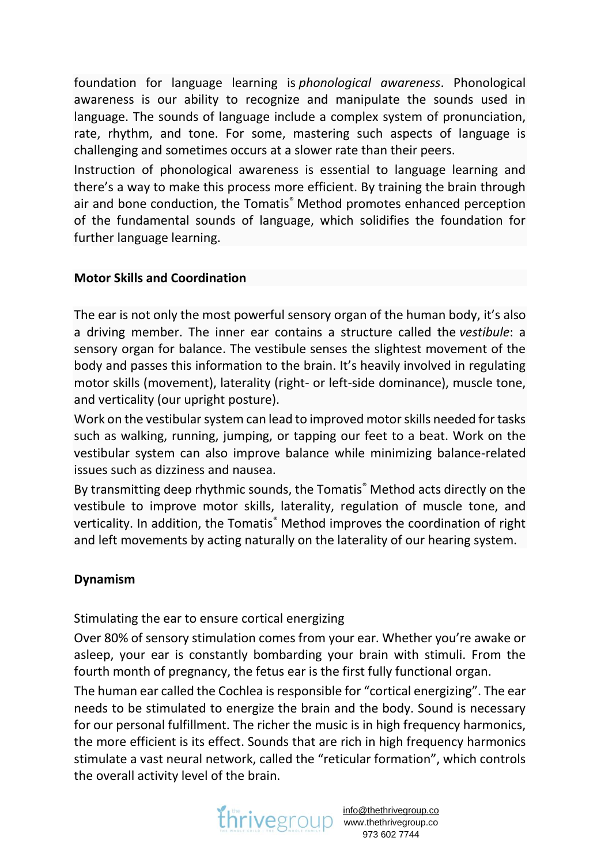foundation for language learning is *phonological awareness*. Phonological awareness is our ability to recognize and manipulate the sounds used in language. The sounds of language include a complex system of pronunciation, rate, rhythm, and tone. For some, mastering such aspects of language is challenging and sometimes occurs at a slower rate than their peers.

Instruction of phonological awareness is essential to language learning and there's a way to make this process more efficient. By training the brain through air and bone conduction, the Tomatis<sup>®</sup> Method promotes enhanced perception of the fundamental sounds of language, which solidifies the foundation for further language learning.

# **Motor Skills and Coordination**

The ear is not only the most powerful sensory organ of the human body, it's also a driving member. The inner ear contains a structure called the *vestibule*: a sensory organ for balance. The vestibule senses the slightest movement of the body and passes this information to the brain. It's heavily involved in regulating motor skills (movement), laterality (right- or left-side dominance), muscle tone, and verticality (our upright posture).

Work on the vestibular system can lead to improved motor skills needed for tasks such as walking, running, jumping, or tapping our feet to a beat. Work on the vestibular system can also improve balance while minimizing balance-related issues such as dizziness and nausea.

By transmitting deep rhythmic sounds, the Tomatis® Method acts directly on the vestibule to improve motor skills, laterality, regulation of muscle tone, and verticality. In addition, the Tomatis® Method improves the coordination of right and left movements by acting naturally on the laterality of our hearing system.

## **Dynamism**

Stimulating the ear to ensure cortical energizing

Over 80% of sensory stimulation comes from your ear. Whether you're awake or asleep, your ear is constantly bombarding your brain with stimuli. From the fourth month of pregnancy, the fetus ear is the first fully functional organ.

The human ear called the Cochlea is responsible for "cortical energizing". The ear needs to be stimulated to energize the brain and the body. Sound is necessary for our personal fulfillment. The richer the music is in high frequency harmonics, the more efficient is its effect. Sounds that are rich in high frequency harmonics stimulate a vast neural network, called the "reticular formation", which controls the overall activity level of the brain.



www.thethrivegroup.co 973 602 7744